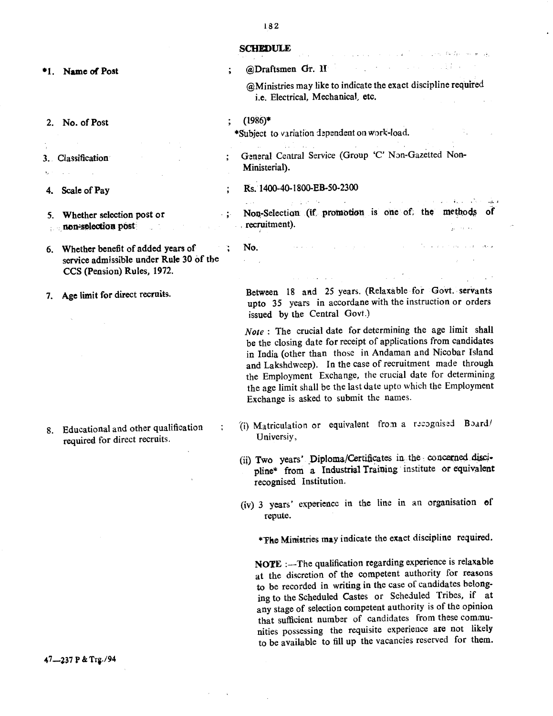| <b>SCHEDULE</b> |  |
|-----------------|--|
|-----------------|--|

No.

\*1. Name of Post

- 2. No. of Post
- 3. Classification
- 
- 4. Scale of Pay
- 5. Whether selection post or non-selection post
- 6. Whether benefit of added years of service admissible under Rule 30 of the CCS (Pension) Rules, 1972.
- 7. Age limit for direct recruits.

8. Educational and other qualification required for direct recruits.

47-237 P & Trg./94

## @Draftsmen Gr. 11 @Ministries may like to indicate the exact discipline required i.e. Electrical, Mechanical, etc.

المحمد المستخدم المحمد المحمد المحمد المحمد المحمد المحمد المحمد المحمد المحمد المحمد المحمد المحمد المحمد الم<br>المحمد المحمد المحمد المحمد المحمد المحمد المحمد المحمد المحمد المحمد المحمد المحمد المحمد المحمد المحمد المحم

رف الواسد البوكية المدرات إزال

**State State State** 

- (1986)\*
- \*Subject to variation dependent on work-load.
- General Central Service (Group 'C' Non-Gazetted Non-Ministerial).
- Rs. 1400-40-1800-EB-50-2300
- $\frac{1}{2}$  ,  $\frac{1}{2}$  ,  $\frac{1}{2}$  ,  $\frac{1}{2}$  $\label{eq:2} \mathcal{L}_{\text{max}} = \mathcal{L}_{\text{max}} = \mathcal{L}_{\text{max}} = \mathcal{L}_{\text{max}}$ . : Non-Selection (if promotion is one of; the methods of recruitment).
	- Between 18 and 25 years. (Relaxable for Govt. servants upto 35 years in accordane with the instruction or orders issued by the Central Govt.)

*Note:* The crucial date for determining the age limit shall be the closing date for receipt of applications from candidates in India (other than those in Andaman and Nicobar Island and Lakshdweep). In the case of recruitment made through the Employment Exchange, the crucial date for determining the age limit shall be the last date upto which the Employment Exchange is asked to submit the names.

- (i) Matriculation or equivalent from a recognised Board! Universiy,
- (ii) Two years' Diploma/Certificates in the concerned discipline\* from a Industrial Training institute or equivalent recognised Institution.
- (iv) 3 years' experience in the line in an organisation of repute.

\*The Ministries may indicate the exact discipline required.

NOTE :-- The qualification regarding experience is relaxable at the discretion of the competent authority for reasons to be recorded in writing in the case of candidates belonging to the Scheduled Castes or Scheduled Tribes, if at any stage of selection competent authority is of the opinion that sufficient number of candidates from these communities possessing the requisite experience are not likely to be available to fill up the vacancies reserved for them.